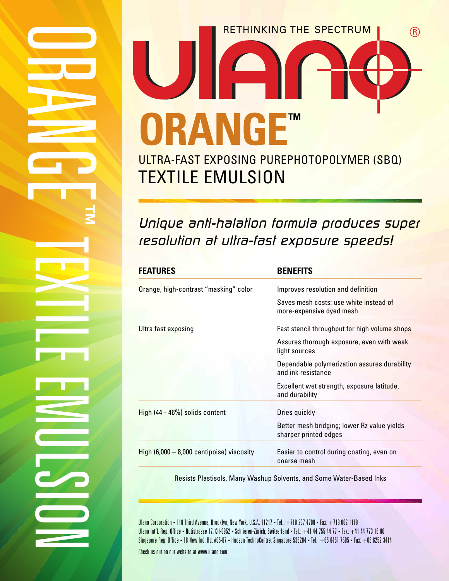# RETHINKING THE SPECTRUM (R) F **ORANGE™** ULTRA-FAST EXPOSING PUREPHOTOPOLYMER (SBQ) TEXTILE EMULSION

# Unique anti-halation formula produces super resolution at ultra-fast exposure speeds!

| <b>FEATURES</b>                             | <b>BENEFITS</b>                                                      |
|---------------------------------------------|----------------------------------------------------------------------|
| Orange, high-contrast "masking" color       | Improves resolution and definition                                   |
|                                             | Saves mesh costs: use white instead of<br>more-expensive dyed mesh   |
| Ultra fast exposing                         | Fast stencil throughput for high volume shops                        |
|                                             | Assures thorough exposure, even with weak<br>light sources           |
|                                             | Dependable polymerization assures durability<br>and ink resistance   |
|                                             | Excellent wet strength, exposure latitude,<br>and durability         |
| High (44 - 46%) solids content              | Dries quickly                                                        |
|                                             | Better mesh bridging; lower Rz value yields<br>sharper printed edges |
| High $(6,000 - 8,000$ centipoise) viscosity | Easier to control during coating, even on<br>coarse mesh             |
|                                             |                                                                      |

Resists Plastisols, Many Washup Solvents, and Some Water-Based Inks

Ulano Corporation • 110 Third Avenue, Brooklyn, New York, U.S.A. 11217 • Tel.: +718 237 4700 • Fax: +718 802 1119 Ulano Int'l. Rep. Office • Rütistrasse 17, CH-8952 • Schlieren-Zürich, Switzerland • Tel.: +41 44 755 44 77 • Fax: +41 44 773 16 06 Singapore Rep. Office • 16 New Ind. Rd. #05-07 • Hudson TechnoCentre, Singapore 536204 • Tel.: +65 6451 7505 • Fax: +65 6252 3414

Check us out on our website at www.ulano.com

 $\qquad \qquad \Box$ 

**RADIO** 

**Allen** 

N

**GD** 

E

<u>The Committee</u>

E

 $\blacktriangleright$ 

<u>The Communication</u> <u>In the companion of the companion of the companion of the companion of the companion of the companion of the companion of the companion of the companion of the companion of the companion of the companion of the companion </u>

**Little** 

**Expa** 

E

M

U

La Caracción de la Caracción de la Caracción de la Caracción de la Caracción de la Caracción de la Caracción d<br>La Caracción de la Caracción de la Caracción de la Caracción de la Caracción de la Caracción de la Caracción d

C/P

<u>In the following the second second</u>

O

No. 1990 - Andrew March

**™**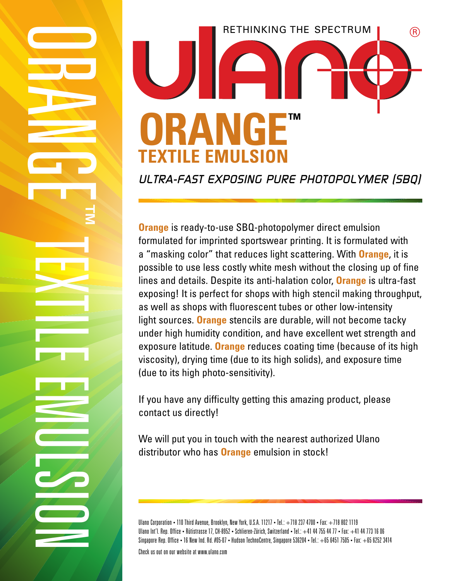

ULTRA-FAST EXPOSING PURE PHOTOPOLYMER (SBQ)

**Orange** is ready-to-use SBQ-photopolymer direct emulsion formulated for imprinted sportswear printing. It is formulated with a "masking color" that reduces light scattering. With **Orange**, it is possible to use less costly white mesh without the closing up of fine lines and details. Despite its anti-halation color, **Orange** is ultra-fast exposing! It is perfect for shops with high stencil making throughput, as well as shops with fluorescent tubes or other low-intensity light sources. **Orange** stencils are durable, will not become tacky under high humidity condition, and have excellent wet strength and exposure latitude. **Orange** reduces coating time (because of its high viscosity), drying time (due to its high solids), and exposure time (due to its high photo-sensitivity).

If you have any difficulty getting this amazing product, please contact us directly!

We will put you in touch with the nearest authorized Ulano distributor who has **Orange** emulsion in stock!

Ulano Corporation • 110 Third Avenue, Brooklyn, New York, U.S.A. 11217 • Tel.: +718 237 4700 • Fax: +718 802 1119 Ulano Int'l. Rep. Office • Rütistrasse 17, CH-8952 • Schlieren-Zürich, Switzerland • Tel.: +41 44 755 44 77 • Fax: +41 44 773 16 06 Singapore Rep. Office • 16 New Ind. Rd. #05-07 • Hudson TechnoCentre, Singapore 536204 • Tel.: +65 6451 7505 • Fax: +65 6252 3414

Check us out on our website at www.ulano.com

 $\qquad \qquad \Box$ 

**RADIO** 

**Allen** 

N

**GD** 

E

<u>The Committee</u>

E

 $\blacktriangleright$ 

<u>The Communication</u> <u>In the companion of the companion of the companion of the companion of the companion of the companion of the companion of the companion of the companion of the companion of the companion of the companion of the companion </u>

**Little** 

**Expa** 

E

M

U

La Caracción de la Caracción de la Caracción de la Caracción de la Caracción de la Caracción de la Caracción d<br>La Caracción de la Caracción de la Caracción de la Caracción de la Caracción de la Caracción de la Caracción d

C/P

<u>In the following the second second</u>

O

No. 1990 - Andrew March

**™**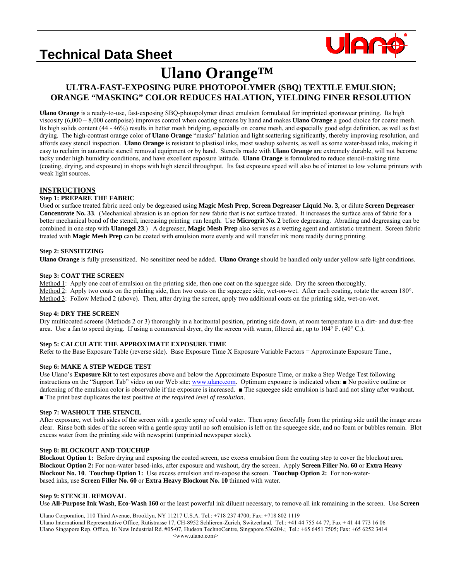# **Technical Data Sheet**



# **Ulano Orange™**

## **ULTRA-FAST-EXPOSING PURE PHOTOPOLYMER (SBQ) TEXTILE EMULSION; ORANGE "MASKING" COLOR REDUCES HALATION, YIELDING FINER RESOLUTION**

**Ulano Orange** is a ready-to-use, fast-exposing SBQ-photopolymer direct emulsion formulated for imprinted sportswear printing. Its high viscosity (6,000 – 8,000 centipoise) improves control when coating screens by hand and makes **Ulano Orange** a good choice for coarse mesh. Its high solids content (44 - 46%) results in better mesh bridging, especially on coarse mesh, and especially good edge definition, as well as fast drying. The high-contrast orange color of **Ulano Orange** "masks" halation and light scattering significantly, thereby improving resolution, and affords easy stencil inspection. **Ulano Orange** is resistant to plastisol inks, most washup solvents, as well as some water-based inks, making it easy to reclaim in automatic stencil removal equipment or by hand. Stencils made with **Ulano Orange** are extremely durable, will not become tacky under high humidity conditions, and have excellent exposure latitude. **Ulano Orange** is formulated to reduce stencil-making time (coating, drying, and exposure) in shops with high stencil throughput. Its fast exposure speed will also be of interest to low volume printers with weak light sources.

#### **INSTRUCTIONS**

#### **Step 1: PREPARE THE FABRIC**

Used or surface treated fabric need only be degreased using **Magic Mesh Prep**, **Screen Degreaser Liquid No. 3**, or dilute **Screen Degreaser Concentrate No. 33**. (Mechanical abrasion is an option for new fabric that is not surface treated. It increases the surface area of fabric for a better mechanical bond of the stencil, increasing printing run length. Use **Microgrit No. 2** before degreasing. Abrading and degreasing can be combined in one step with **Ulanogel 23**.) A degreaser, **Magic Mesh Prep** also serves as a wetting agent and antistatic treatment. Screen fabric treated with **Magic Mesh Prep** can be coated with emulsion more evenly and will transfer ink more readily during printing.

#### **Step 2: SENSITIZING**

**Ulano Orange** is fully presensitized. No sensitizer need be added. **Ulano Orange** should be handled only under yellow safe light conditions.

#### **Step 3: COAT THE SCREEN**

Method 1: Apply one coat of emulsion on the printing side, then one coat on the squeegee side. Dry the screen thoroughly. Method 2: Apply two coats on the printing side, then two coats on the squeegee side, wet-on-wet. After each coating, rotate the screen 180°. Method 3: Follow Method 2 (above). Then, after drying the screen, apply two additional coats on the printing side, wet-on-wet.

#### **Step 4: DRY THE SCREEN**

Dry multicoated screens (Methods 2 or 3) thoroughly in a horizontal position, printing side down, at room temperature in a dirt- and dust-free area. Use a fan to speed drying. If using a commercial dryer, dry the screen with warm, filtered air, up to 104° F. (40° C.).

#### **Step 5: CALCULATE THE APPROXIMATE EXPOSURE TIME**

Refer to the Base Exposure Table (reverse side). Base Exposure Time X Exposure Variable Factors = Approximate Exposure Time.,

#### **Step 6: MAKE A STEP WEDGE TEST**

Use Ulano's **Exposure Kit** to test exposures above and below the Approximate Exposure Time, or make a Step Wedge Test following instructions on the "Support Tab" video on our Web site: [www.ulano.com](http://www.ulano.com/). Optimum exposure is indicated when: ■ No positive outline or darkening of the emulsion color is observable if the exposure is increased. ■ The squeegee side emulsion is hard and not slimy after washout. ■ The print best duplicates the test positive *at the required level of resolution*.

#### **Step 7: WASHOUT THE STENCIL**

After exposure, wet both sides of the screen with a gentle spray of cold water. Then spray forcefully from the printing side until the image areas clear. Rinse both sides of the screen with a gentle spray until no soft emulsion is left on the squeegee side, and no foam or bubbles remain. Blot excess water from the printing side with newsprint (unprinted newspaper stock).

#### **Step 8: BLOCKOUT AND TOUCHUP**

**Blockout Option 1:** Before drying and exposing the coated screen, use excess emulsion from the coating step to cover the blockout area. **Blockout Option 2:** For non-water based-inks, after exposure and washout, dry the screen. Apply **Screen Filler No. 60** or **Extra Heavy Blockout No. 10**. **Touchup Option 1:** Use excess emulsion and re-expose the screen. **Touchup Option 2:** For non-waterbased inks, use **Screen Filler No. 60** or **Extra Heavy Blockout No. 10** thinned with water.

#### **Step 9: STENCIL REMOVAL**

Use **All-Purpose Ink Wash**, **Eco-Wash 160** or the least powerful ink diluent necessary, to remove all ink remaining in the screen. Use **Screen** 

Ulano Corporation, 110 Third Avenue, Brooklyn, NY 11217 U.S.A. Tel.: +718 237 4700; Fax: +718 802 1119 Ulano International Representative Office, Rütistrasse 17, CH-8952 Schlieren-Zurich, Switzerland. Tel.: +41 44 755 44 77; Fax + 41 44 773 16 06 Ulano Singapore Rep. Office, 16 New Industrial Rd. #05-07, Hudson TechnoCentre, Singapore 536204.; Tel.: +65 6451 7505; Fax: +65 6252 3414 <www.ulano.com>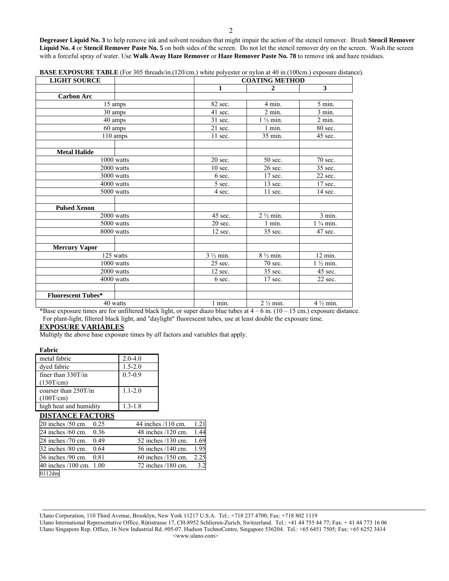**Degreaser Liquid No. 3** to help remove ink and solvent residues that might impair the action of the stencil remover. Brush **Stencil Remover Liquid No. 4** or **Stencil Remover Paste No. 5** on both sides of the screen. Do not let the stencil remover dry on the screen. Wash the screen with a forceful spray of water. Use **Walk Away Haze Remover** or **Haze Remover Paste No. 78** to remove ink and haze residues.

| <b>LIGHT SOURCE</b>       |                         |                     | <b>COATING METHOD</b> |                     |  |
|---------------------------|-------------------------|---------------------|-----------------------|---------------------|--|
|                           |                         | 1                   | $\mathbf{2}$          | 3                   |  |
| <b>Carbon Arc</b>         |                         |                     |                       |                     |  |
| 15 amps                   |                         | 82 sec.             | 4 min.                | 5 min.              |  |
| 30 amps                   |                         | 41 sec.             | $2$ min.              | $3$ min.            |  |
| 40 amps                   |                         | 31 sec.             | $1\frac{1}{2}$ min.   | $2$ min.            |  |
| 60 amps                   |                         | $21$ sec.           | 1 min.                | 80 sec.             |  |
|                           | 110 amps                | 11 sec.             | 35 min.               | $45$ sec.           |  |
|                           |                         |                     |                       |                     |  |
| <b>Metal Halide</b>       |                         |                     |                       |                     |  |
|                           | 1000 watts              | 20 sec.             | 50 sec.               | 70 sec.             |  |
| 2000 watts                |                         | $10$ sec.           | 26 sec.               | 35 sec.             |  |
|                           | 3000 watts              | 6 sec.              | $17$ sec.             | 22 sec.             |  |
|                           | $\overline{40}00$ watts | 5 sec.              | 13 sec.               | 17 sec.             |  |
|                           | 5000 watts              | 4 sec.              | $11$ sec.             | $14$ sec.           |  |
| <b>Pulsed Xenon</b>       |                         |                     |                       |                     |  |
|                           | 2000 watts              | 45 sec.             | $2\frac{1}{2}$ min.   | 3 min.              |  |
|                           | $5000$ watts            | 20 sec.             | 1 min.                | $1\frac{1}{4}$ min. |  |
|                           | 8000 watts              | 12 sec.             | 35 sec.               | 47 sec.             |  |
| <b>Mercury Vapor</b>      |                         |                     |                       |                     |  |
|                           | 125 watts               | $3\frac{1}{2}$ min. | $8\frac{1}{2}$ min.   | 12 min.             |  |
| 1000 watts                |                         | 25 sec.             | 70 sec.               | $1\frac{1}{2}$ min. |  |
|                           | 2000 watts              | 12 sec.             | 35 sec.               | 45 sec.             |  |
|                           | 4000 watts              | 6 sec.              | 17 sec.               | 22 sec.             |  |
|                           |                         |                     |                       |                     |  |
| <b>Fluorescent Tubes*</b> |                         |                     |                       |                     |  |
|                           | 40 watts                | $1$ min.            | $2\frac{1}{2}$ min.   | $4\frac{1}{2}$ min. |  |

**BASE EXPOSURE TABLE** (For 305 threads/in.(120/cm.) white polyester or nylon at 40 in.(100cm.) exposure distance).

\*Base exposure times are for unfiltered black light, or super diazo blue tubes at  $4 - 6$  in.  $(10 - 15 \text{ cm.})$  exposure distance. For plant-light, filtered black light, and "daylight" fluorescent tubes, use at least double the exposure time.

#### **EXPOSURE VARIABLES**

Multiply the above base exposure times by *all* factors and variables that apply.

#### **Fabric**

| metal fabric           | $2.0 - 4.0$ |
|------------------------|-------------|
| dyed fabric            | $1.5 - 2.0$ |
| finer than $330T/in$   | $0.7 - 0.9$ |
| (130T/cm)              |             |
| coarser than $250T/in$ | $1.1 - 2.0$ |
| (100T/cm)              |             |
| high heat and humidity | $1.3 - 1.8$ |
| $\sim$                 |             |

#### **DISTANCE FACTORS**

| $20$ inches $/50$ cm.   | 0.25 | 44 inches /110 cm.     | 1.21 |
|-------------------------|------|------------------------|------|
| 24 inches /60 cm.       | 0.36 | 48 inches /120 cm.     | 1.44 |
| 28 inches /70 cm.       | 0.49 | 52 inches /130 cm.     | 1.69 |
| 32 inches /80 cm.       | 0.64 | 56 inches /140 cm.     | 1.95 |
| 36 inches /90 cm.       | 0.81 | $60$ inches $/150$ cm. | 2.25 |
| 40 inches /100 cm. 1.00 |      | 72 inches /180 cm.     |      |
| 0112dm                  |      |                        |      |

Ulano Corporation, 110 Third Avenue, Brooklyn, New York 11217 U.S.A. Tel.: +718 237 4700; Fax: +718 802 1119 Ulano International Representative Office, Rütistrasse 17, CH-8952 Schlieren-Zurich, Switzerland. Tel.: +41 44 755 44 77; Fax: + 41 44 773 16 06 Ulano Singapore Rep. Office, 16 New Industrial Rd. #05-07. Hudson TechnoCentre, Singapore 536204. Tel.: +65 6451 7505; Fax: +65 6252 3414 <www.ulano.com>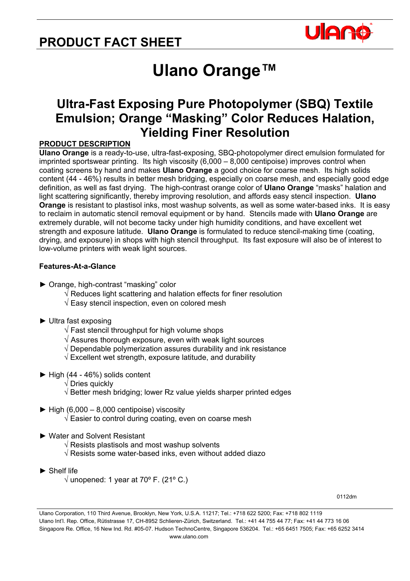# **PRODUCT FACT SHEET**



# **Ulano Orange™**

## **Ultra-Fast Exposing Pure Photopolymer (SBQ) Textile Emulsion; Orange "Masking" Color Reduces Halation, Yielding Finer Resolution**

## **PRODUCT DESCRIPTION**

**Ulano Orange** is a ready-to-use, ultra-fast-exposing, SBQ-photopolymer direct emulsion formulated for imprinted sportswear printing. Its high viscosity (6,000 – 8,000 centipoise) improves control when coating screens by hand and makes **Ulano Orange** a good choice for coarse mesh. Its high solids content (44 - 46%) results in better mesh bridging, especially on coarse mesh, and especially good edge definition, as well as fast drying. The high-contrast orange color of **Ulano Orange** "masks" halation and light scattering significantly, thereby improving resolution, and affords easy stencil inspection. **Ulano Orange** is resistant to plastisol inks, most washup solvents, as well as some water-based inks. It is easy to reclaim in automatic stencil removal equipment or by hand. Stencils made with **Ulano Orange** are extremely durable, will not become tacky under high humidity conditions, and have excellent wet strength and exposure latitude. **Ulano Orange** is formulated to reduce stencil-making time (coating, drying, and exposure) in shops with high stencil throughput. Its fast exposure will also be of interest to low-volume printers with weak light sources.

## **Features-At-a-Glance**

- **►** Orange, high-contrast "masking" color
	- $\sqrt{ }$  Reduces light scattering and halation effects for finer resolution
	- $\sqrt{2}$  Easy stencil inspection, even on colored mesh

### **►** Ultra fast exposing

- $\sqrt{}$  Fast stencil throughput for high volume shops
- $\sqrt{ }$  Assures thorough exposure, even with weak light sources
- $\sqrt{ }$  Dependable polymerization assures durability and ink resistance
- $\sqrt{2}$  Excellent wet strength, exposure latitude, and durability
- **►** High (44 46%) solids content
	- √ Dries quickly
	- √ Better mesh bridging; lower Rz value yields sharper printed edges
- $\blacktriangleright$  High (6,000 8,000 centipoise) viscosity
	- √ Easier to control during coating, even on coarse mesh
- ► Water and Solvent Resistant
	- $\sqrt{ }$  Resists plastisols and most washup solvents
	- √ Resists some water-based inks, even without added diazo
- ► Shelf life
	- $\sqrt{ }$  unopened: 1 year at 70 $\degree$  F. (21 $\degree$  C.)

0112dm

Ulano Corporation, 110 Third Avenue, Brooklyn, New York, U.S.A. 11217; Tel.: +718 622 5200; Fax: +718 802 1119 Ulano Int'l. Rep. Office, Rütistrasse 17, CH-8952 Schlieren-Zürich, Switzerland. Tel.: +41 44 755 44 77; Fax: +41 44 773 16 06 Singapore Re. Office, 16 New Ind. Rd. #05-07. Hudson TechnoCentre, Singapore 536204. Tel.: +65 6451 7505; Fax: +65 6252 3414 www.ulano.com